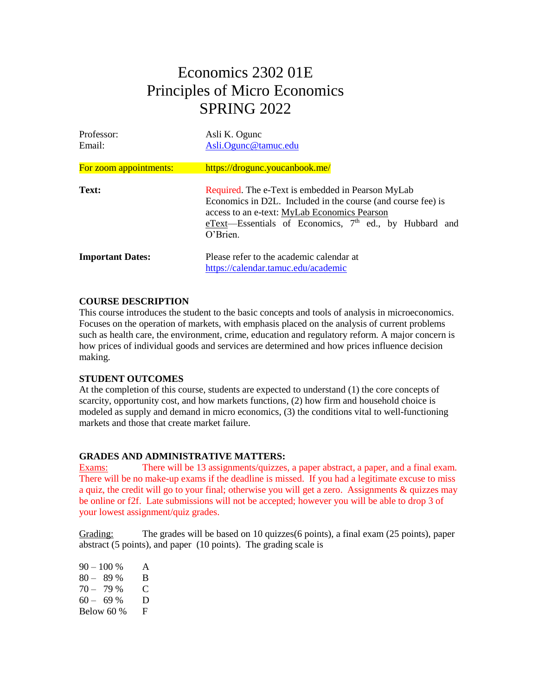# Economics 2302 01E Principles of Micro Economics SPRING 2022

| Professor:<br>Email:    | Asli K. Ogunc<br>Asli.Ogunc@tamuc.edu                                                                                                                                                                                                               |
|-------------------------|-----------------------------------------------------------------------------------------------------------------------------------------------------------------------------------------------------------------------------------------------------|
| For zoom appointments:  | https://drogunc.youcanbook.me/                                                                                                                                                                                                                      |
| Text:                   | Required. The e-Text is embedded in Pearson MyLab<br>Economics in D2L. Included in the course (and course fee) is<br>access to an e-text: MyLab Economics Pearson<br>eText-Essentials of Economics, 7 <sup>th</sup> ed., by Hubbard and<br>O'Brien. |
| <b>Important Dates:</b> | Please refer to the academic calendar at<br>https://calendar.tamuc.edu/academic                                                                                                                                                                     |

# **COURSE DESCRIPTION**

This course introduces the student to the basic concepts and tools of analysis in microeconomics. Focuses on the operation of markets, with emphasis placed on the analysis of current problems such as health care, the environment, crime, education and regulatory reform. A major concern is how prices of individual goods and services are determined and how prices influence decision making.

# **STUDENT OUTCOMES**

At the completion of this course, students are expected to understand (1) the core concepts of scarcity, opportunity cost, and how markets functions, (2) how firm and household choice is modeled as supply and demand in micro economics, (3) the conditions vital to well-functioning markets and those that create market failure.

# **GRADES AND ADMINISTRATIVE MATTERS:**

Exams: There will be 13 assignments/quizzes, a paper abstract, a paper, and a final exam. There will be no make-up exams if the deadline is missed. If you had a legitimate excuse to miss a quiz, the credit will go to your final; otherwise you will get a zero. Assignments & quizzes may be online or f2f. Late submissions will not be accepted; however you will be able to drop 3 of your lowest assignment/quiz grades.

Grading: The grades will be based on 10 quizzes(6 points), a final exam (25 points), paper abstract (5 points), and paper (10 points). The grading scale is

| $90 - 100 %$ | A |
|--------------|---|
| $80 - 89%$   | B |
| $70 - 79%$   | C |
| $60 - 69%$   | D |
| Below 60 %   | F |
|              |   |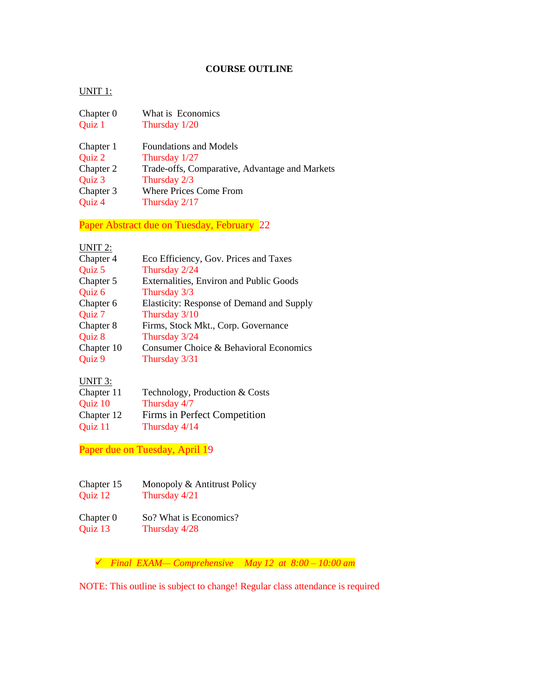# **COURSE OUTLINE**

#### UNIT 1:

| Chapter 0<br>Quiz 1 | What is Economics<br>Thursday 1/20             |
|---------------------|------------------------------------------------|
| Chapter 1           | <b>Foundations and Models</b>                  |
| Quiz 2              | Thursday $1/27$                                |
| Chapter 2           | Trade-offs, Comparative, Advantage and Markets |
| Quiz 3              | Thursday 2/3                                   |
| Chapter 3           | <b>Where Prices Come From</b>                  |
| Quiz 4              | Thursday 2/17                                  |

Paper Abstract due on Tuesday, February 22

### UNIT 2:

| Chapter 4  | Eco Efficiency, Gov. Prices and Taxes     |
|------------|-------------------------------------------|
| Quiz 5     | Thursday 2/24                             |
| Chapter 5  | Externalities, Environ and Public Goods   |
| Quiz 6     | Thursday 3/3                              |
| Chapter 6  | Elasticity: Response of Demand and Supply |
| Quiz 7     | Thursday 3/10                             |
| Chapter 8  | Firms, Stock Mkt., Corp. Governance       |
| Quiz 8     | Thursday 3/24                             |
| Chapter 10 | Consumer Choice & Behavioral Economics    |
| Quiz 9     | Thursday 3/31                             |
|            |                                           |

#### UNIT 3:

| Chapter 11 | Technology, Production & Costs |
|------------|--------------------------------|
| Quiz 10    | Thursday 4/7                   |
| Chapter 12 | Firms in Perfect Competition   |
| Quiz 11    | Thursday 4/14                  |

Paper due on Tuesday, April 19

- Chapter 15 Monopoly & Antitrust Policy Quiz 12 Thursday 4/21
- Chapter 0 So? What is Economics?<br>Quiz 13 Thursday  $4/28$ Thursday 4/28

*Final EXAM— Comprehensive May 12 at 8:00 – 10:00 am*

NOTE: This outline is subject to change! Regular class attendance is required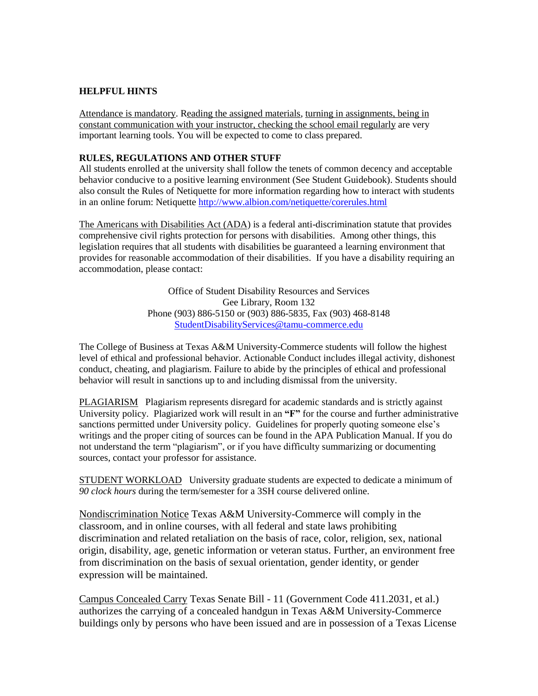## **HELPFUL HINTS**

Attendance is mandatory. Reading the assigned materials, turning in assignments, being in constant communication with your instructor, checking the school email regularly are very important learning tools. You will be expected to come to class prepared.

## **RULES, REGULATIONS AND OTHER STUFF**

All students enrolled at the university shall follow the tenets of common decency and acceptable behavior conducive to a positive learning environment (See Student Guidebook). Students should also consult the Rules of Netiquette for more information regarding how to interact with students in an online forum: Netiquette<http://www.albion.com/netiquette/corerules.html>

The Americans with Disabilities Act (ADA) is a federal anti-discrimination statute that provides comprehensive civil rights protection for persons with disabilities. Among other things, this legislation requires that all students with disabilities be guaranteed a learning environment that provides for reasonable accommodation of their disabilities. If you have a disability requiring an accommodation, please contact:

> Office of Student Disability Resources and Services Gee Library, Room 132 Phone (903) 886-5150 or (903) 886-5835, Fax (903) 468-8148 [StudentDisabilityServices@tamu-commerce.edu](mailto:StudentDisabilityServices@tamu-commerce.edu)

The College of Business at Texas A&M University-Commerce students will follow the highest level of ethical and professional behavior. Actionable Conduct includes illegal activity, dishonest conduct, cheating, and plagiarism. Failure to abide by the principles of ethical and professional behavior will result in sanctions up to and including dismissal from the university.

PLAGIARISMPlagiarism represents disregard for academic standards and is strictly against University policy. Plagiarized work will result in an **"F"** for the course and further administrative sanctions permitted under University policy. Guidelines for properly quoting someone else's writings and the proper citing of sources can be found in the APA Publication Manual. If you do not understand the term "plagiarism", or if you have difficulty summarizing or documenting sources, contact your professor for assistance.

STUDENT WORKLOADUniversity graduate students are expected to dedicate a minimum of *90 clock hours* during the term/semester for a 3SH course delivered online.

Nondiscrimination Notice Texas A&M University-Commerce will comply in the classroom, and in online courses, with all federal and state laws prohibiting discrimination and related retaliation on the basis of race, color, religion, sex, national origin, disability, age, genetic information or veteran status. Further, an environment free from discrimination on the basis of sexual orientation, gender identity, or gender expression will be maintained.

Campus Concealed Carry Texas Senate Bill - 11 (Government Code 411.2031, et al.) authorizes the carrying of a concealed handgun in Texas A&M University-Commerce buildings only by persons who have been issued and are in possession of a Texas License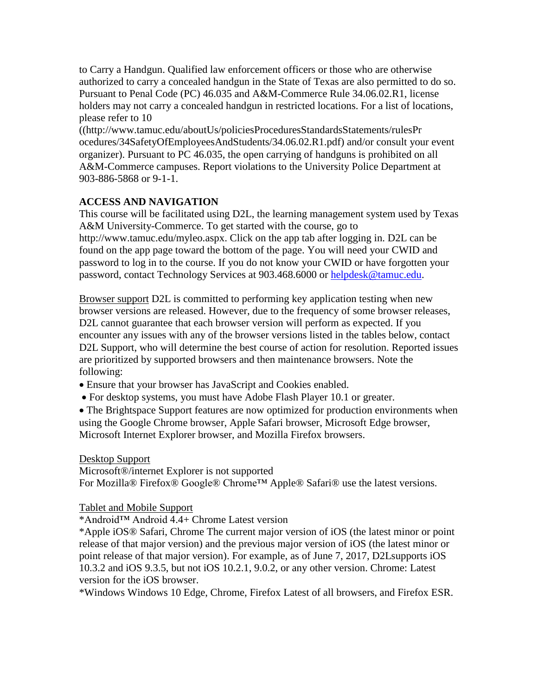to Carry a Handgun. Qualified law enforcement officers or those who are otherwise authorized to carry a concealed handgun in the State of Texas are also permitted to do so. Pursuant to Penal Code (PC) 46.035 and A&M-Commerce Rule 34.06.02.R1, license holders may not carry a concealed handgun in restricted locations. For a list of locations, please refer to 10

((http://www.tamuc.edu/aboutUs/policiesProceduresStandardsStatements/rulesPr ocedures/34SafetyOfEmployeesAndStudents/34.06.02.R1.pdf) and/or consult your event organizer). Pursuant to PC 46.035, the open carrying of handguns is prohibited on all A&M-Commerce campuses. Report violations to the University Police Department at 903-886-5868 or 9-1-1.

# **ACCESS AND NAVIGATION**

This course will be facilitated using D2L, the learning management system used by Texas A&M University-Commerce. To get started with the course, go to http://www.tamuc.edu/myleo.aspx. Click on the app tab after logging in. D2L can be found on the app page toward the bottom of the page. You will need your CWID and password to log in to the course. If you do not know your CWID or have forgotten your password, contact Technology Services at 903.468.6000 or [helpdesk@tamuc.edu.](mailto:helpdesk@tamuc.edu)

Browser support D2L is committed to performing key application testing when new browser versions are released. However, due to the frequency of some browser releases, D2L cannot guarantee that each browser version will perform as expected. If you encounter any issues with any of the browser versions listed in the tables below, contact D2L Support, who will determine the best course of action for resolution. Reported issues are prioritized by supported browsers and then maintenance browsers. Note the following:

Ensure that your browser has JavaScript and Cookies enabled.

For desktop systems, you must have Adobe Flash Player 10.1 or greater.

• The Brightspace Support features are now optimized for production environments when using the Google Chrome browser, Apple Safari browser, Microsoft Edge browser, Microsoft Internet Explorer browser, and Mozilla Firefox browsers.

# Desktop Support

Microsoft®/internet Explorer is not supported For Mozilla® Firefox® Google® Chrome™ Apple® Safari® use the latest versions.

# Tablet and Mobile Support

\*Android™ Android 4.4+ Chrome Latest version

\*Apple iOS® Safari, Chrome The current major version of iOS (the latest minor or point release of that major version) and the previous major version of iOS (the latest minor or point release of that major version). For example, as of June 7, 2017, D2Lsupports iOS 10.3.2 and iOS 9.3.5, but not iOS 10.2.1, 9.0.2, or any other version. Chrome: Latest version for the iOS browser.

\*Windows Windows 10 Edge, Chrome, Firefox Latest of all browsers, and Firefox ESR.